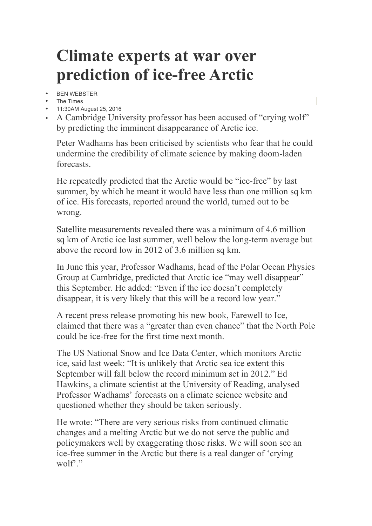## **Climate experts at war over prediction of ice-free Arctic**

- BEN WEBSTER
- The Times
- 11:30AM August 25, 2016
- A Cambridge University professor has been accused of "crying wolf" by predicting the imminent disappearance of Arctic ice.

Peter Wadhams has been criticised by scientists who fear that he could undermine the credibility of climate science by making doom-laden forecasts.

He repeatedly predicted that the Arctic would be "ice-free" by last summer, by which he meant it would have less than one million sq km of ice. His forecasts, reported around the world, turned out to be wrong.

Satellite measurements revealed there was a minimum of 4.6 million sq km of Arctic ice last summer, well below the long-term average but above the record low in 2012 of 3.6 million sq km.

In June this year, Professor Wadhams, head of the Polar Ocean Physics Group at Cambridge, predicted that Arctic ice "may well disappear" this September. He added: "Even if the ice doesn't completely disappear, it is very likely that this will be a record low year."

A recent press release promoting his new book, Farewell to Ice, claimed that there was a "greater than even chance" that the North Pole could be ice-free for the first time next month.

The US National Snow and Ice Data Center, which monitors Arctic ice, said last week: "It is unlikely that Arctic sea ice extent this September will fall below the record minimum set in 2012." Ed Hawkins, a climate scientist at the University of Reading, analysed Professor Wadhams' forecasts on a climate science website and questioned whether they should be taken seriously.

He wrote: "There are very serious risks from continued climatic changes and a melting Arctic but we do not serve the public and policymakers well by exaggerating those risks. We will soon see an ice-free summer in the Arctic but there is a real danger of 'crying wolf'."